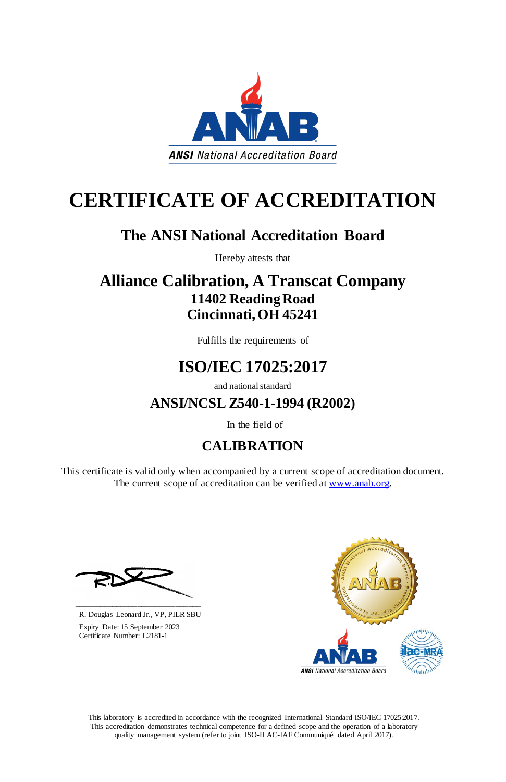This laboratory is accredited in accordance with the recognized International Standard ISO/IEC 17025:2017. This accreditation demonstrates technical competence for a defined scope and the operation of a laboratory quality management system (refer to joint ISO-ILAC-IAF Communiqué dated April 2017).

This certificate is valid only when accompanied by a current scope of accreditation document. The current scope of accreditation can be verified at [www.anab.org.](http://www.anab.org/)







# **CERTIFICATE OF ACCREDITATION**

### **The ANSI National Accreditation Board**

Hereby attests that

### **Alliance Calibration, A Transcat Company 11402 Reading Road Cincinnati, OH 45241**

Fulfills the requirements of

## **ISO/IEC 17025:2017**

and national standard

**ANSI/NCSL Z540-1-1994 (R2002)**

In the field of

### **CALIBRATION**

**\_\_\_\_\_\_\_\_\_\_\_\_\_\_\_\_\_\_\_\_\_\_\_\_\_\_\_\_\_\_** R. Douglas Leonard Jr., VP, PILR SBU

 Expiry Date: 15 September 2023 Certificate Number: L2181-1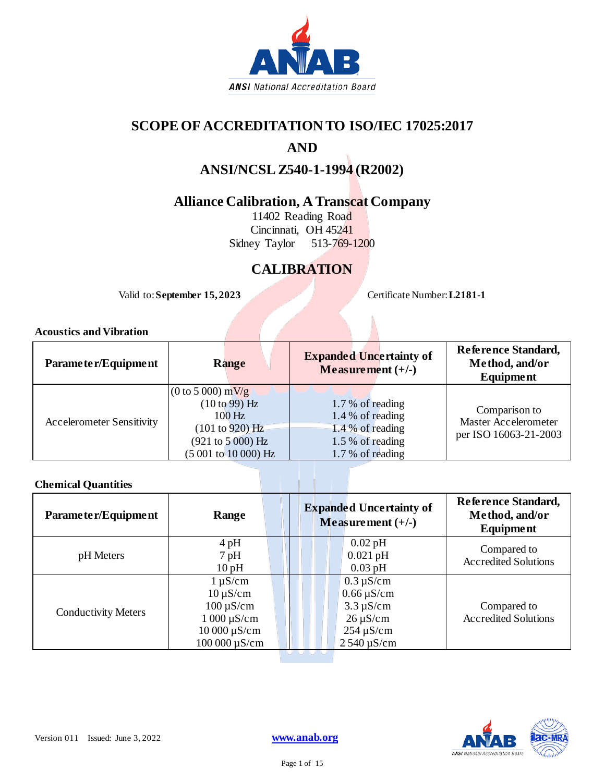

#### **SCOPE OF ACCREDITATION TO ISO/IEC 17025:2017**

#### **AND**

### **ANSI/NCSL Z540-1-1994 (R2002)**

#### **Alliance Calibration, A Transcat Company**

11402 Reading Road Cincinnati, OH 45241 Sidney Taylor 513-769-1200

### **CALIBRATION**

Valid to: **September 15, 2023** Certificate Number: **L2181-1**

#### **Acoustics and Vibration**

| Parameter/Equipment              | Range                                                                                                                           | <b>Expanded Uncertainty of</b><br>Measurement $(+/-)$                                               | Reference Standard,<br>Method, and/or<br>Equipment             |
|----------------------------------|---------------------------------------------------------------------------------------------------------------------------------|-----------------------------------------------------------------------------------------------------|----------------------------------------------------------------|
| <b>Accelerometer Sensitivity</b> | $(0 \text{ to } 5000) \text{ mV/g}$<br>(10 to 99) Hz<br>$100$ Hz<br>(101 to 920) Hz<br>(921 to 5000) Hz<br>(5 001 to 10 000) Hz | 1.7 % of reading<br>1.4 % of reading<br>$-1.4\%$ of reading<br>1.5 % of reading<br>1.7 % of reading | Comparison to<br>Master Accelerometer<br>per ISO 16063-21-2003 |

#### **Chemical Quantities**

| Parameter/Equipment        | Range             | <b>Expanded Uncertainty of</b><br>Measurement $(+/-)$ | Reference Standard,<br>Method, and/or<br>Equipment |
|----------------------------|-------------------|-------------------------------------------------------|----------------------------------------------------|
|                            | $4$ pH            | $0.02$ pH                                             | Compared to                                        |
| pH Meters                  | $7$ pH            | $0.021$ pH                                            | <b>Accredited Solutions</b>                        |
|                            | 10pH              | $0.03$ pH                                             |                                                    |
|                            | $1 \mu S/cm$      | $0.3 \mu S/cm$                                        |                                                    |
|                            | $10 \mu S/cm$     | $0.66 \,\mathrm{\upmu S/cm}$                          |                                                    |
|                            | $100 \mu S/cm$    | $3.3 \mu S/cm$                                        | Compared to                                        |
| <b>Conductivity Meters</b> | $1000 \mu S/cm$   | $26 \mu S/cm$                                         | <b>Accredited Solutions</b>                        |
|                            | $10000 \mu S/cm$  | $254 \,\mathrm{\upmu S/cm}$                           |                                                    |
|                            | $100000 \mu S/cm$ | $2540 \mu S/cm$                                       |                                                    |

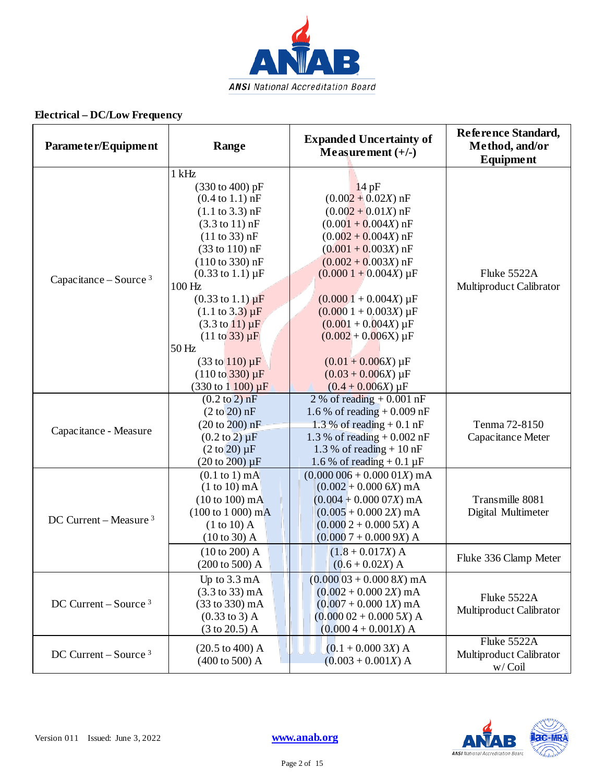

| Parameter/Equipment               | Range                                                                                                                                                                                                                                                                                                                                                                                                                                                                                                                                                        | <b>Expanded Uncertainty of</b><br>Measurement $(+/-)$                                                                                                                                                                                                                                                                                                                                   | Reference Standard,<br>Method, and/or<br><b>Equipment</b> |
|-----------------------------------|--------------------------------------------------------------------------------------------------------------------------------------------------------------------------------------------------------------------------------------------------------------------------------------------------------------------------------------------------------------------------------------------------------------------------------------------------------------------------------------------------------------------------------------------------------------|-----------------------------------------------------------------------------------------------------------------------------------------------------------------------------------------------------------------------------------------------------------------------------------------------------------------------------------------------------------------------------------------|-----------------------------------------------------------|
| Capacitance – Source $3$          | $1$ kHz<br>$(330 \text{ to } 400) \text{ pF}$<br>$(0.4 \text{ to } 1.1) \text{ nF}$<br>$(1.1 \text{ to } 3.3) \text{ nF}$<br>$(3.3 \text{ to } 11) \text{ nF}$<br>(11 to 33) nF<br>$(33 \text{ to } 110) \text{ nF}$<br>$(110 \text{ to } 330) \text{ nF}$<br>$(0.33 \text{ to } 1.1) \mu F$<br>100 Hz<br>$(0.33 \text{ to } 1.1) \mu F$<br>$(1.1 \text{ to } 3.3) \mu F$<br>$(3.3 \text{ to } 11) \mu F$<br>$(11 \text{ to } 33) \mu F$<br>50 Hz<br>$(33 \text{ to } 110) \,\mu\text{F}$<br>$(110 \text{ to } 330) \mu F$<br>$(330 \text{ to } 1100) \mu F$ | 14pF<br>$(0.002 + 0.02X)$ nF<br>$(0.002 + 0.01X)$ nF<br>$(0.001 + 0.004X)$ nF<br>$(0.002 + 0.004X)$ nF<br>$(0.001 + 0.003X)$ nF<br>$(0.002 + 0.003X)$ nF<br>$(0.0001 + 0.004X) \mu F$<br>$(0.0001 + 0.004X) \mu F$<br>$(0.0001 + 0.003X) \mu F$<br>$(0.001 + 0.004X) \mu F$<br>$(0.002 + 0.006X) \mu F$<br>$(0.01 + 0.006X) \mu F$<br>$(0.03 + 0.006X) \mu F$<br>$(0.4 + 0.006X) \mu F$ | Fluke 5522A<br>Multiproduct Calibrator                    |
| Capacitance - Measure             | $(0.2 \text{ to } 2) \text{ nF}$<br>$(2 \text{ to } 20)$ nF<br>(20 to 200) nF<br>$(0.2 \text{ to } 2) \mu F$<br>$(2 \text{ to } 20) \mu F$<br>$(20 \text{ to } 200) \mu F$                                                                                                                                                                                                                                                                                                                                                                                   | 2 % of reading $+0.001$ nF<br>1.6 % of reading $+0.009$ nF<br>1.3 % of reading $+0.1$ nF<br>1.3 % of reading $+ 0.002$ nF<br>1.3 % of reading $+10$ nF<br>1.6 % of reading $+0.1 \mu F$                                                                                                                                                                                                 | Tenma 72-8150<br>Capacitance Meter                        |
| DC Current - Measure <sup>3</sup> | $(0.1$ to 1) mA<br>$(1 to 10)$ mA<br>$(10 to 100)$ mA<br>$(100 \text{ to } 1000) \text{ mA}$<br>$(1 to 10)$ A<br>(10 to 30) A                                                                                                                                                                                                                                                                                                                                                                                                                                | $(0.000\,006 + 0.000\,01X)$ mA<br>$(0.002 + 0.0006X)$ mA<br>$(0.004 + 0.00007X)$ mA<br>$(0.005 + 0.000 2X)$ mA<br>$(0.0002 + 0.0005X)$ A<br>$(0.0007 + 0.0009X)$ A                                                                                                                                                                                                                      | Transmille 8081<br>Digital Multimeter                     |
|                                   | $(10 to 200)$ A<br>$(200 \text{ to } 500)$ A                                                                                                                                                                                                                                                                                                                                                                                                                                                                                                                 | $(1.8 + 0.017X)$ A<br>$(0.6 + 0.02X)$ A                                                                                                                                                                                                                                                                                                                                                 | Fluke 336 Clamp Meter                                     |
| DC Current – Source $3$           | Up to 3.3 mA<br>$(3.3 \text{ to } 33) \text{ mA}$<br>(33 to 330) mA<br>$(0.33 \text{ to } 3)$ A<br>$(3 \text{ to } 20.5)$ A                                                                                                                                                                                                                                                                                                                                                                                                                                  | $(0.00003 + 0.0008X)$ mA<br>$(0.002 + 0.000 2X)$ mA<br>$(0.007 + 0.0001X)$ mA<br>$(0.00002 + 0.0005X)$ A<br>$(0.0004 + 0.001X)$ A                                                                                                                                                                                                                                                       | Fluke 5522A<br>Multiproduct Calibrator                    |
| DC Current – Source $3$           | $(20.5 \text{ to } 400)$ A<br>$(400 \text{ to } 500)$ A                                                                                                                                                                                                                                                                                                                                                                                                                                                                                                      | $(0.1 + 0.0003X)$ A<br>$(0.003 + 0.001X)$ A                                                                                                                                                                                                                                                                                                                                             | Fluke 5522A<br>Multiproduct Calibrator<br>w/Coil          |

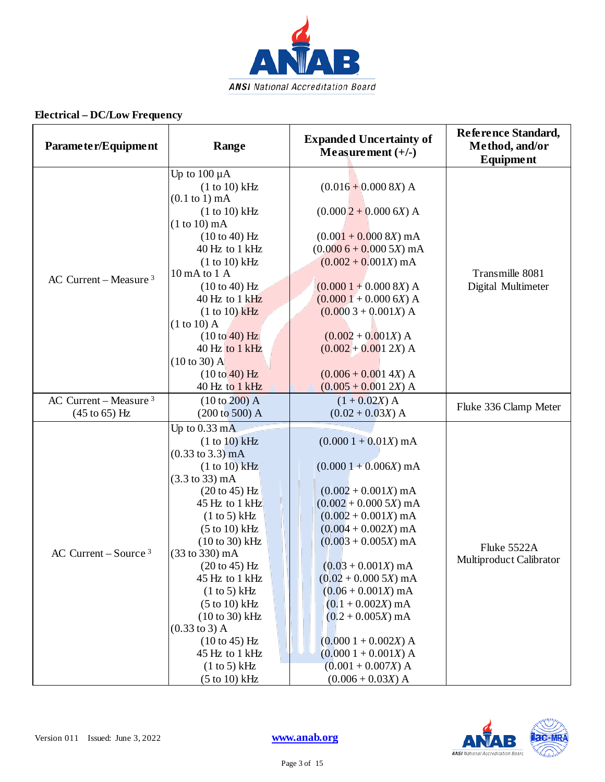

| Parameter/Equipment                                  | Range                                                                                                                                                                                                                                                                                                                                                                                                                                             | <b>Expanded Uncertainty of</b><br>Measurement $(+/-)$                                                                                                                                                                                                                                                                                                                                                 | Reference Standard,<br>Method, and/or<br>Equipment |
|------------------------------------------------------|---------------------------------------------------------------------------------------------------------------------------------------------------------------------------------------------------------------------------------------------------------------------------------------------------------------------------------------------------------------------------------------------------------------------------------------------------|-------------------------------------------------------------------------------------------------------------------------------------------------------------------------------------------------------------------------------------------------------------------------------------------------------------------------------------------------------------------------------------------------------|----------------------------------------------------|
| AC Current – Measure $3$                             | Up to $100 \mu A$<br>(1 to 10) kHz<br>$(0.1$ to 1) mA<br>(1 to 10) kHz<br>$(1 to 10)$ mA<br>(10 to 40) Hz<br>40 Hz to 1 kHz<br>(1 to 10) kHz<br>10 mA to 1 A<br>(10 to 40) Hz<br>40 Hz to 1 kHz<br>$(1 to 10)$ kHz<br>$(1 to 10)$ A<br>$(10 to 40)$ Hz<br>40 Hz to 1 kHz<br>$(10 \text{ to } 30)$ A<br>(10 to 40) Hz<br>40 Hz to 1 kHz                                                                                                            | $(0.016 + 0.000 8X)$ A<br>$(0.0002 + 0.0006X)$ A<br>$(0.001 + 0.000 8X)$ mA<br>$(0.0006 + 0.0005X)$ mA<br>$(0.002 + 0.001X)$ mA<br>$(0.0001 + 0.0008X)$ A<br>$(0.0001 + 0.0006X)$ A<br>$(0.0003 + 0.001X)$ A<br>$(0.002 + 0.001X)$ A<br>$(0.002 + 0.001 2X)$ A<br>$(0.006 + 0.001 4X)$ A<br>$(0.005 + 0.001 2X)$ A                                                                                    | Transmille 8081<br>Digital Multimeter              |
| AC Current – Measure $3$<br>$(45 \text{ to } 65)$ Hz | $(10 to 200)$ A<br>(200 to 500) A                                                                                                                                                                                                                                                                                                                                                                                                                 | $(1 + 0.02X)$ A<br>$(0.02 + 0.03X)$ A                                                                                                                                                                                                                                                                                                                                                                 | Fluke 336 Clamp Meter                              |
| AC Current – Source $3$                              | Up to $0.33 \text{ mA}$<br>(1 to 10) kHz<br>$(0.33 \text{ to } 3.3) \text{ mA}$<br>$(1 to 10)$ kHz<br>$(3.3 \text{ to } 33) \text{ mA}$<br>(20 to 45) Hz<br>45 Hz to 1 kHz<br>(1 to 5) kHz<br>$(5 to 10)$ kHz<br>$(10 to 30)$ kHz<br>(33 to 330) mA<br>(20 to 45) Hz<br>45 Hz to 1 kHz<br>(1 to 5) kHz<br>$(5 to 10)$ kHz<br>$(10 to 30)$ kHz<br>$(0.33 \text{ to } 3)$ A<br>$(10 to 45)$ Hz<br>45 Hz to 1 kHz<br>(1 to 5) kHz<br>$(5 to 10)$ kHz | $(0.0001 + 0.01X)$ mA<br>$(0.0001 + 0.006X)$ mA<br>$(0.002 + 0.001X)$ mA<br>$(0.002 + 0.0005X)$ mA<br>$(0.002 + 0.001X)$ mA<br>$(0.004 + 0.002X)$ mA<br>$(0.003 + 0.005X)$ mA<br>$(0.03 + 0.001X)$ mA<br>$(0.02 + 0.0005X)$ mA<br>$(0.06 + 0.001X)$ mA<br>$(0.1 + 0.002X)$ mA<br>$(0.2 + 0.005X)$ mA<br>$(0.0001 + 0.002X)$ A<br>$(0.0001 + 0.001X)$ A<br>$(0.001 + 0.007X)$ A<br>$(0.006 + 0.03X)$ A | Fluke 5522A<br>Multiproduct Calibrator             |

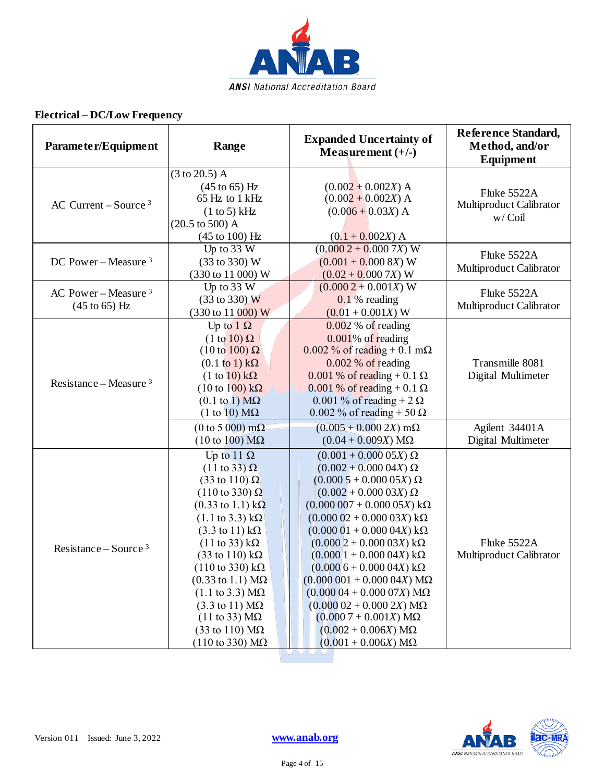

| Parameter/Equipment                                | Range                                                                                                                                                                                                                                                                                                                                                                                                                                                                                                                                                                                                                                              | <b>Expanded Uncertainty of</b><br>Measurement $(+/-)$                                                                                                                                                                                                                                                                                                                                                                                                                                                                                | Reference Standard,<br>Method, and/or<br><b>Equipment</b> |
|----------------------------------------------------|----------------------------------------------------------------------------------------------------------------------------------------------------------------------------------------------------------------------------------------------------------------------------------------------------------------------------------------------------------------------------------------------------------------------------------------------------------------------------------------------------------------------------------------------------------------------------------------------------------------------------------------------------|--------------------------------------------------------------------------------------------------------------------------------------------------------------------------------------------------------------------------------------------------------------------------------------------------------------------------------------------------------------------------------------------------------------------------------------------------------------------------------------------------------------------------------------|-----------------------------------------------------------|
| AC Current – Source $3$                            | $(3 \text{ to } 20.5)$ A<br>$(45 \text{ to } 65)$ Hz<br>65 Hz to 1 kHz<br>(1 to 5) kHz<br>$(20.5 \text{ to } 500)$ A<br>$(45 \text{ to } 100) \text{ Hz}$                                                                                                                                                                                                                                                                                                                                                                                                                                                                                          | $(0.002 + 0.002X)$ A<br>$(0.002 + 0.002X)$ A<br>$(0.006 + 0.03X)$ A<br>$(0.1 + 0.002X)$ A                                                                                                                                                                                                                                                                                                                                                                                                                                            | Fluke 5522A<br>Multiproduct Calibrator<br>w/Coil          |
| DC Power – Measure $3$                             | Up to $33 W$<br>(33 to 330) W<br>(330 to 11 000) W                                                                                                                                                                                                                                                                                                                                                                                                                                                                                                                                                                                                 | $(0.0002 + 0.0007X)$ W<br>$(0.001 + 0.000 8X)$ W<br>$(0.02 + 0.0007X)$ W                                                                                                                                                                                                                                                                                                                                                                                                                                                             | Fluke 5522A<br>Multiproduct Calibrator                    |
| AC Power – Measure $3$<br>$(45 \text{ to } 65)$ Hz | Up to $33 W$<br>(33 to 330) W<br>(330 to 11 000) W                                                                                                                                                                                                                                                                                                                                                                                                                                                                                                                                                                                                 | $(0.0002 + 0.001X)$ W<br>$0.1\%$ reading<br>$(0.01 + 0.001X)$ W                                                                                                                                                                                                                                                                                                                                                                                                                                                                      | Fluke 5522A<br>Multiproduct Calibrator                    |
| Resistance – Measure $3$                           | Up to $1 \Omega$<br>$(1 \text{ to } 10) \Omega$<br>$(10 \text{ to } 100) \Omega$<br>$(0.1 \text{ to } 1) \text{ k}\Omega$<br>$(1 to 10) k\Omega$<br>$(10 \text{ to } 100) \text{ k}\Omega$<br>$(0.1 \text{ to } 1) \text{ M}\Omega$<br>$(1 to 10) M\Omega$                                                                                                                                                                                                                                                                                                                                                                                         | $0.002\%$ of reading<br>$0.001\%$ of reading<br>$0.002\%$ of reading + 0.1 m $\Omega$<br>0.002 % of reading<br>$0.001\%$ of reading + 0.1 $\Omega$<br>$0.001\%$ of reading + 0.1 $\Omega$<br>0.001 % of reading + 2 $\Omega$<br>$0.002\%$ of reading + 50 $\Omega$                                                                                                                                                                                                                                                                   | Transmille 8081<br>Digital Multimeter                     |
|                                                    | (0 to 5 000) mΩ<br>$(10 \text{ to } 100) \text{ M}\Omega$                                                                                                                                                                                                                                                                                                                                                                                                                                                                                                                                                                                          | $(0.005 + 0.000 2X)$ m $\Omega$<br>$(0.04 + 0.009X) M\Omega$                                                                                                                                                                                                                                                                                                                                                                                                                                                                         | Agilent 34401A<br>Digital Multimeter                      |
| Resistance – Source $3$                            | Up to 11 $\Omega$<br>$(11 \text{ to } 33) \Omega$<br>$(33 \text{ to } 110) \Omega$<br>$(110 \text{ to } 330) \Omega$<br>$(0.33 \text{ to } 1.1) \text{ k}\Omega$<br>$(1.1 \text{ to } 3.3) \text{ k}\Omega$<br>$(3.3 \text{ to } 11) \text{ k}\Omega$<br>$(11 \text{ to } 33) \text{ k}\Omega$<br>$(33 \text{ to } 110) \text{ k}\Omega$<br>$(110 \text{ to } 330) \text{ k}\Omega$<br>$(0.33 \text{ to } 1.1) \text{ M}\Omega$<br>$(1.1 \text{ to } 3.3) \text{ M}\Omega$<br>$(3.3 \text{ to } 11) \text{ M}\Omega$<br>$(11 \text{ to } 33) \text{ M}\Omega$<br>$(33 \text{ to } 110) \text{ M}\Omega$<br>$(110 \text{ to } 330) \text{ M}\Omega$ | $(0.001 + 0.00005X) \Omega$<br>$(0.002 + 0.00004X) \Omega$<br>$(0.0005 + 0.00005X) \Omega$<br>$(0.002 + 0.00003X) \Omega$<br>$(0.000007 + 0.00005X) k\Omega$<br>$(0.00002 + 0.00003X) k\Omega$<br>$(0.00001 + 0.00004X) k\Omega$<br>$(0.0002 + 0.00003X) k\Omega$<br>$(0.0001 + 0.00004X) k\Omega$<br>$(0.0006 + 0.00004X) k\Omega$<br>$(0.000001 + 0.00004X) M\Omega$<br>$(0.00004 + 0.00007X) M\Omega$<br>$(0.00002 + 0.0002X) M\Omega$<br>$(0.0007 + 0.001X) M\Omega$<br>$(0.002 + 0.006X) M\Omega$<br>$(0.001 + 0.006X) M\Omega$ | Fluke 5522A<br>Multiproduct Calibrator                    |



r T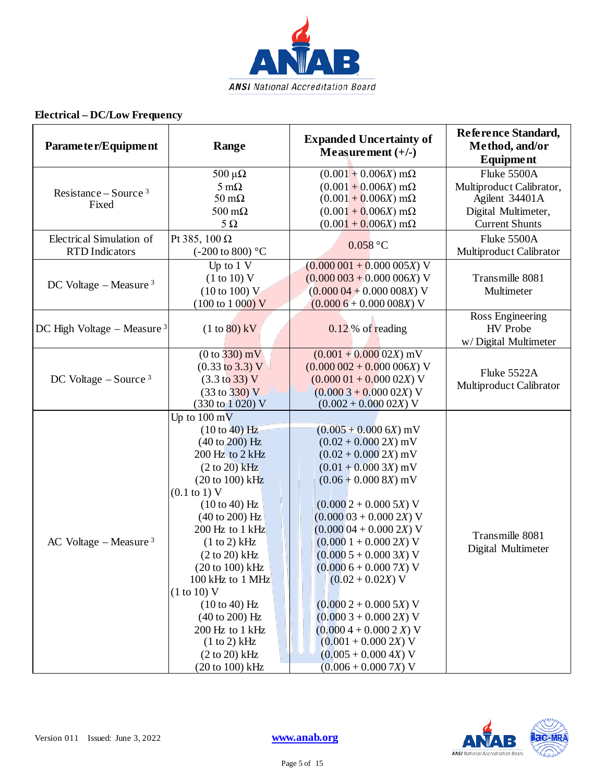

| Parameter/Equipment                               | Range                                                                                                                                                                                                                                                                                                                                                                                                                                                           | <b>Expanded Uncertainty of</b><br>Measurement $(+/-)$                                                                                                                                                                                                                                                                                                                                                                                                                        | Reference Standard,<br>Method, and/or<br><b>Equipment</b>                                                 |
|---------------------------------------------------|-----------------------------------------------------------------------------------------------------------------------------------------------------------------------------------------------------------------------------------------------------------------------------------------------------------------------------------------------------------------------------------------------------------------------------------------------------------------|------------------------------------------------------------------------------------------------------------------------------------------------------------------------------------------------------------------------------------------------------------------------------------------------------------------------------------------------------------------------------------------------------------------------------------------------------------------------------|-----------------------------------------------------------------------------------------------------------|
| Resistance – Source $3$<br>Fixed                  | $500 \mu\Omega$<br>$5 \text{ mA}$<br>$50 \text{ m}\Omega$<br>$500 \text{ m}\Omega$<br>$5\,\Omega$                                                                                                                                                                                                                                                                                                                                                               | $(0.001 + 0.006X)$ m $\Omega$<br>$(0.001 + 0.006X)$ m $\Omega$<br>$(0.001 + 0.006X)$ m $\Omega$<br>$(0.001 + 0.006X)$ m $\Omega$<br>$(0.001 + 0.006X)$ m $\Omega$                                                                                                                                                                                                                                                                                                            | Fluke 5500A<br>Multiproduct Calibrator,<br>Agilent 34401A<br>Digital Multimeter,<br><b>Current Shunts</b> |
| Electrical Simulation of<br><b>RTD</b> Indicators | Pt 385, 100 $\Omega$<br>(-200 to 800) $^{\circ} \mathrm{C}$                                                                                                                                                                                                                                                                                                                                                                                                     | $0.058$ °C                                                                                                                                                                                                                                                                                                                                                                                                                                                                   | Fluke 5500A<br>Multiproduct Calibrator                                                                    |
| DC Voltage $-$ Measure $3$                        | Up to $1 \nV$<br>(1 to 10) V<br>(10 to 100) V<br>$(100 \text{ to } 1000) \text{ V}$                                                                                                                                                                                                                                                                                                                                                                             | $(0.000001 + 0.000005X)$ V<br>$(0.000003 + 0.000006X)$ V<br>$(0.00004 + 0.000008X)$ V<br>$(0.0006 + 0.000008X)$ V                                                                                                                                                                                                                                                                                                                                                            | Transmille 8081<br>Multimeter                                                                             |
| DC High Voltage - Measure $3$                     | $(1 to 80)$ kV                                                                                                                                                                                                                                                                                                                                                                                                                                                  | $0.12\%$ of reading                                                                                                                                                                                                                                                                                                                                                                                                                                                          | Ross Engineering<br><b>HV</b> Probe<br>w/Digital Multimeter                                               |
| DC Voltage $-$ Source <sup>3</sup>                | $(0 to 330)$ mV<br>$(0.33 \text{ to } 3.3) \text{ V}$<br>$(3.3 \text{ to } 33) \text{ V}$<br>$(33 \text{ to } 330) \text{ V}$<br>$(330 \text{ to } 1020) \text{ V}$                                                                                                                                                                                                                                                                                             | $(0.001 + 0.00002X)$ mV<br>$(0.000002 + 0.000006X)$ V<br>$(0.00001 + 0.00002X)$ V<br>$(0.0003 + 0.00002X)$ V<br>$(0.002 + 0.00002X)$ V                                                                                                                                                                                                                                                                                                                                       | Fluke 5522A<br>Multiproduct Calibrator                                                                    |
| AC Voltage $-$ Measure $3$                        | Up to $100 \text{ mV}$<br>(10 to 40) Hz<br>$(40 \text{ to } 200)$ Hz<br>200 Hz to 2 kHz<br>$(2 to 20)$ kHz<br>$(20 to 100)$ kHz<br>$(0.1 \text{ to } 1) V$<br>(10 to 40) Hz<br>$(40 \text{ to } 200) \text{ Hz}$<br>200 Hz to 1 kHz<br>(1 to 2) kHz<br>$(2 to 20)$ kHz<br>(20 to 100) kHz<br>100 kHz to 1 MHz<br>(1 to 10) V<br>$(10 to 40)$ Hz<br>$(40 \text{ to } 200) \text{ Hz}$<br>200 Hz to 1 kHz<br>(1 to 2) kHz<br>$(2 to 20)$ kHz<br>$(20 to 100)$ kHz | $(0.005 + 0.0006X)$ mV<br>$(0.02 + 0.000 2X)$ mV<br>$(0.02 + 0.0002X)$ mV<br>$(0.01 + 0.0003X)$ mV<br>$(0.06 + 0.000 8X)$ mV<br>$(0.0002 + 0.0005X)$ V<br>$(0.00003 + 0.0002X)$ V<br>$(0.00004 + 0.0002X)$ V<br>$(0.0001 + 0.0002X)$ V<br>$(0.0005 + 0.0003X)$ V<br>$(0.0006 + 0.0007X)$ V<br>$(0.02 + 0.02X)$ V<br>$(0.0002 + 0.0005X)$ V<br>$(0.0003 + 0.0002X)$ V<br>$(0.0004 + 0.0002 X)$ V<br>$(0.001 + 0.000 2X)$ V<br>$(0.005 + 0.000 4X) V$<br>$(0.006 + 0.0007X)$ V | Transmille 8081<br>Digital Multimeter                                                                     |

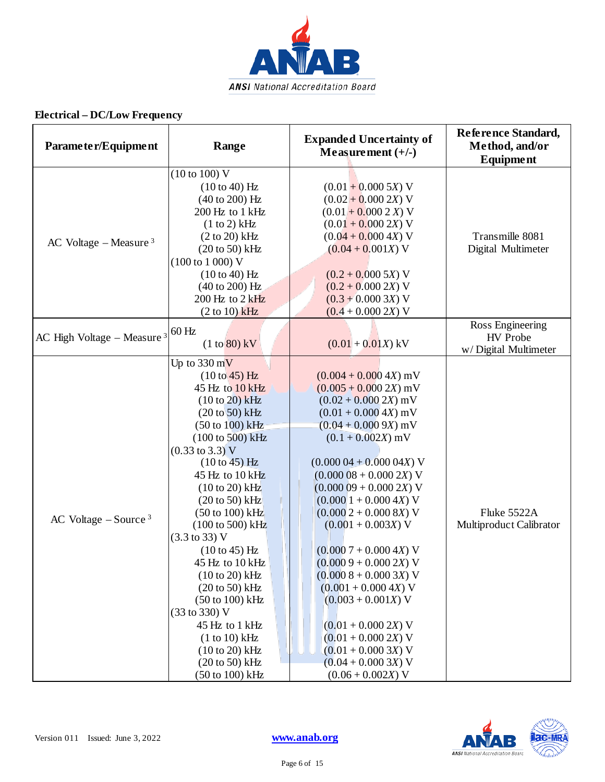

| Parameter/Equipment                 | Range                                                                                                                                                                                                                                                                                                                                                                                                                                                                                                                                                                                                              | <b>Expanded Uncertainty of</b><br>Measurement $(+/-)$                                                                                                                                                                                                                                                                                                                                                                                                                                                                                                                        | Reference Standard,<br>Method, and/or<br><b>Equipment</b>   |
|-------------------------------------|--------------------------------------------------------------------------------------------------------------------------------------------------------------------------------------------------------------------------------------------------------------------------------------------------------------------------------------------------------------------------------------------------------------------------------------------------------------------------------------------------------------------------------------------------------------------------------------------------------------------|------------------------------------------------------------------------------------------------------------------------------------------------------------------------------------------------------------------------------------------------------------------------------------------------------------------------------------------------------------------------------------------------------------------------------------------------------------------------------------------------------------------------------------------------------------------------------|-------------------------------------------------------------|
| AC Voltage – Measure $3$            | (10 to 100) V<br>$(10 to 40)$ Hz<br>$(40 \text{ to } 200) \text{ Hz}$<br>200 Hz to 1 kHz<br>(1 to 2) kHz<br>$(2 to 20)$ kHz<br>$(20 to 50)$ kHz<br>$(100 \text{ to } 1000) \text{ V}$<br>(10 to 40) Hz<br>$(40 \text{ to } 200)$ Hz<br>$200$ Hz to $2$ kHz<br>$(2 to 10)$ kHz                                                                                                                                                                                                                                                                                                                                      | $(0.01 + 0.0005X)$ V<br>$(0.02 + 0.000 2X)$ V<br>$(0.01 + 0.0002 X)$ V<br>$(0.01 + 0.000 2X)$ V<br>$(0.04 + 0.000 4X)$ V<br>$(0.04 + 0.001X)$ V<br>$(0.2 + 0.0005X)$ V<br>$(0.2 + 0.000 2X)$ V<br>$(0.3 + 0.0003X)$ V<br>$(0.4 + 0.000 2X)$ V                                                                                                                                                                                                                                                                                                                                | Transmille 8081<br>Digital Multimeter                       |
| AC High Voltage – Measure $3$ 60 Hz | $(1 to 80)$ kV                                                                                                                                                                                                                                                                                                                                                                                                                                                                                                                                                                                                     | $(0.01 + 0.01X)$ kV                                                                                                                                                                                                                                                                                                                                                                                                                                                                                                                                                          | Ross Engineering<br><b>HV</b> Probe<br>w/Digital Multimeter |
| AC Voltage $-$ Source <sup>3</sup>  | Up to $330 \text{ mV}$<br>(10 to 45) Hz<br>45 Hz to 10 kHz<br>$(10 to 20)$ kHz<br>$(20 to 50)$ kHz<br>(50 to 100) kHz<br>(100 to 500) kHz<br>$(0.33 \text{ to } 3.3) \text{ V}$<br>$(10 to 45)$ Hz<br>45 Hz to 10 kHz<br>$(10 to 20)$ kHz<br>$(20 \text{ to } 50)$ kHz<br>$(50 \text{ to } 100) \text{ kHz}$<br>(100 to 500) kHz<br>$(3.3 \text{ to } 33) \text{ V}$<br>$(10 to 45)$ Hz<br>45 Hz to 10 kHz<br>$(10 to 20)$ kHz<br>$(20 \text{ to } 50)$ kHz<br>$(50 \text{ to } 100) \text{ kHz}$<br>(33 to 330) V<br>45 Hz to 1 kHz<br>$(1 to 10)$ kHz<br>$(10 to 20)$ kHz<br>$(20 to 50)$ kHz<br>(50 to 100) kHz | $(0.004 + 0.000 4X)$ mV<br>$(0.005 + 0.000 2X)$ mV<br>$(0.02 + 0.0002X)$ mV<br>$(0.01 + 0.000 4X)$ mV<br>$(0.04 + 0.0009X)$ mV<br>$(0.1 + 0.002X)$ mV<br>$(0.00004 + 0.00004X)$ V<br>$(0.00008 + 0.0002X)$ V<br>$(0.00009 + 0.0002X)$ V<br>$(0.0001 + 0.0004X)$ V<br>$(0.0002 + 0.0008X)$ V<br>$(0.001 + 0.003X)$ V<br>$(0.0007 + 0.0004X)$ V<br>$(0.0009 + 0.0002X)$ V<br>$(0.0008 + 0.0003X)$ V<br>$(0.001 + 0.000 4X)$ V<br>$(0.003 + 0.001X)$ V<br>$(0.01 + 0.000 2X)$ V<br>$(0.01 + 0.000 2X)$ V<br>$(0.01 + 0.0003X)$ V<br>$(0.04 + 0.0003X)$ V<br>$(0.06 + 0.002X)$ V | Fluke 5522A<br>Multiproduct Calibrator                      |

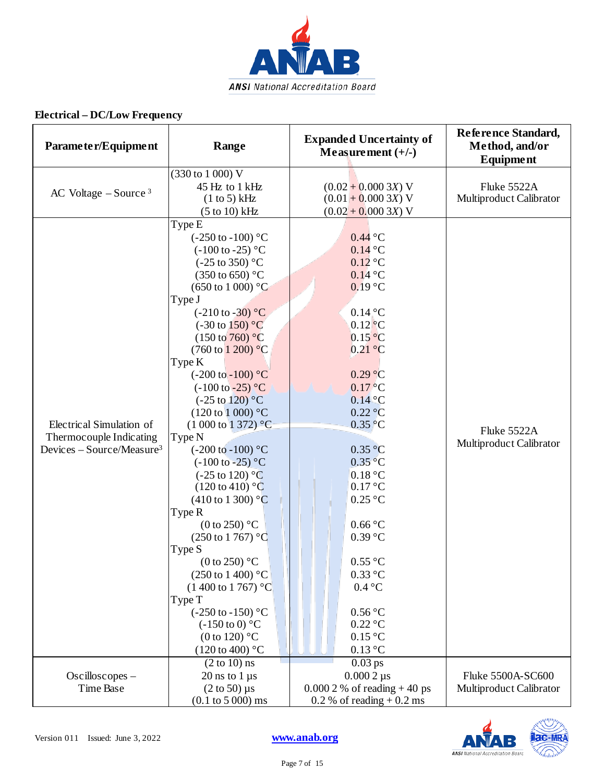

| Parameter/Equipment                                                                          | Range                                                                                                                                                                                                                                                                                                                                                                                                                                                                                                                                                                                                                                                                                                                                                                                                                                                                                                                                                       | <b>Expanded Uncertainty of</b><br>Measurement $(+/-)$                                                                                                                                                                                                                                                                                                                                                                                                                                                                                     | Reference Standard,<br>Method, and/or<br><b>Equipment</b> |
|----------------------------------------------------------------------------------------------|-------------------------------------------------------------------------------------------------------------------------------------------------------------------------------------------------------------------------------------------------------------------------------------------------------------------------------------------------------------------------------------------------------------------------------------------------------------------------------------------------------------------------------------------------------------------------------------------------------------------------------------------------------------------------------------------------------------------------------------------------------------------------------------------------------------------------------------------------------------------------------------------------------------------------------------------------------------|-------------------------------------------------------------------------------------------------------------------------------------------------------------------------------------------------------------------------------------------------------------------------------------------------------------------------------------------------------------------------------------------------------------------------------------------------------------------------------------------------------------------------------------------|-----------------------------------------------------------|
| AC Voltage $-$ Source $3$                                                                    | (330 to 1 000) V<br>45 Hz to 1 kHz<br>(1 to 5) kHz<br>$(5 to 10)$ kHz                                                                                                                                                                                                                                                                                                                                                                                                                                                                                                                                                                                                                                                                                                                                                                                                                                                                                       | $(0.02 + 0.0003X)$ V<br>$(0.01 + 0.0003X)$ V<br>$(0.02 + 0.0003X)$ V                                                                                                                                                                                                                                                                                                                                                                                                                                                                      | Fluke 5522A<br>Multiproduct Calibrator                    |
| Electrical Simulation of<br>Thermocouple Indicating<br>Devices - Source/Measure <sup>3</sup> | Type E<br>$(-250 \text{ to } -100)$ °C<br>$(-100 \text{ to } -25)$ °C<br>$(-25 \text{ to } 350)$ °C<br>$(350 \text{ to } 650)$ °C<br>$(650 \text{ to } 1000)$ °C<br>Type J<br>$(-210 \text{ to } -30)$ °C<br>$(-30 \text{ to } 150)$ °C<br>$(150 \text{ to } 760)$ °C<br>$(760 \text{ to } 1200)$ °C<br>Type K<br>$(-200 \text{ to } -100)$ °C<br>$(-100 \text{ to } -25)$ °C<br>$(-25 \text{ to } 120)$ °C<br>$(120 \text{ to } 1000)$ °C<br>$(1\ 000\ \text{to}\ 1\ 372)$ °C<br>Type N<br>$(-200 \text{ to } -100)$ °C<br>$(-100 \text{ to } -25)$ °C<br>$(-25 \text{ to } 120)$ °C<br>$(120 \text{ to } 410)$ °C<br>$(410 \text{ to } 1300)$ °C<br>Type R<br>$(0 \text{ to } 250)$ °C<br>$(250 \text{ to } 1767)$ °C<br>Type S<br>(0 to 250) $^{\circ}$ C<br>$(250 \text{ to } 1400)$ °C<br>$(1400 \text{ to } 1767)$ °C<br>Type T<br>$(-250 \text{ to } -150)$ °C<br>$(-150 \text{ to } 0)$ °C<br>(0 to 120) $^{\circ}$ C<br>$(120 \text{ to } 400)$ °C | $0.44\text{ °C}$<br>$0.14\text{ °C}$<br>$0.12$ °C<br>$0.14\text{ °C}$<br>$0.19$ °C<br>$0.14\degree$ C<br>$0.12$ <sup>o</sup> C<br>$0.15\text{ °C}$<br>0.21 °C<br>0.29 °C<br>$0.17\,^{\circ}$ C<br>$0.14\degree C$<br>0.22 °C<br>$0.35\degree C$<br>0.35 °C<br>$0.35\,^{\circ}\mathrm{C}$<br>0.18 °C<br>0.17 °C<br>$0.25\text{ °C}$<br>$0.66\text{ °C}$<br>$0.39\text{ °C}$<br>$0.55\,^{\circ}\mathrm{C}$<br>$0.33\text{ °C}$<br>$0.4\text{ °C}$<br>$0.56\,^{\circ}\mathrm{C}$<br>$0.22\text{ °C}$<br>$0.15\text{ °C}$<br>$0.13\text{ °C}$ | Fluke 5522A<br>Multiproduct Calibrator                    |
| Oscilloscopes -<br>Time Base                                                                 | $(2 to 10)$ ns<br>$20$ ns to $1 \mu s$<br>$(2 \text{ to } 50)$ µs<br>$(0.1 \text{ to } 5000) \text{ ms}$                                                                                                                                                                                                                                                                                                                                                                                                                                                                                                                                                                                                                                                                                                                                                                                                                                                    | $0.03$ ps<br>$0.0002 \,\mu s$<br>$0.0002 \%$ of reading + 40 ps<br>$0.2\%$ of reading + 0.2 ms                                                                                                                                                                                                                                                                                                                                                                                                                                            | Fluke 5500A-SC600<br>Multiproduct Calibrator              |

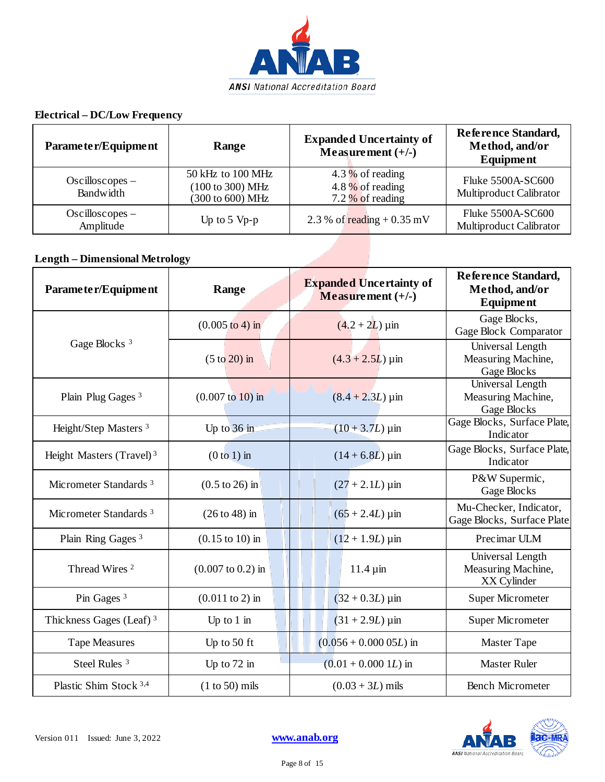

| Parameter/Equipment             | Range                                                     | <b>Expanded Uncertainty of</b><br>Measurement $(+/-)$          | Reference Standard,<br>Method, and/or<br><b>Equipment</b> |
|---------------------------------|-----------------------------------------------------------|----------------------------------------------------------------|-----------------------------------------------------------|
| $Oscilloscopes -$<br>Bandwidth  | 50 kHz to 100 MHz<br>(100 to 300) MHz<br>(300 to 600) MHz | 4.3 $%$ of reading<br>4.8 $%$ of reading<br>7.2 $%$ of reading | Fluke 5500A-SC600<br>Multiproduct Calibrator              |
| $Oscillos copes -$<br>Amplitude | Up to $5 \,$ Vp-p                                         | 2.3 % of reading $+0.35$ mV                                    | Fluke 5500A-SC600<br>Multiproduct Calibrator              |

#### **Length – Dimensional Metrology**

| Parameter/Equipment                  | Range                               | <b>Expanded Uncertainty of</b><br>Measurement $(+/-)$ | Reference Standard,<br>Method, and/or<br><b>Equipment</b> |
|--------------------------------------|-------------------------------------|-------------------------------------------------------|-----------------------------------------------------------|
|                                      | $(0.005 \text{ to } 4) \text{ in}$  | $(4.2 + 2L)$ µin                                      | Gage Blocks,<br><b>Gage Block Comparator</b>              |
| Gage Blocks <sup>3</sup>             | $(5 \text{ to } 20)$ in             | $(4.3 + 2.5L) \,\mathrm{\mu m}$                       | Universal Length<br>Measuring Machine,<br>Gage Blocks     |
| Plain Plug Gages <sup>3</sup>        | $(0.007 \text{ to } 10) \text{ in}$ | $(8.4 + 2.3L) \,\mu m$                                | Universal Length<br>Measuring Machine,<br>Gage Blocks     |
| Height/Step Masters <sup>3</sup>     | Up to $36$ in                       | $(10 + 3.7L) \,\mu m$                                 | Gage Blocks, Surface Plate,<br>Indicator                  |
| Height Masters (Travel) <sup>3</sup> | $(0 to 1)$ in                       | $(14 + 6.8L) \,\mathrm{\mu m}$                        | Gage Blocks, Surface Plate,<br>Indicator                  |
| Micrometer Standards <sup>3</sup>    | $(0.5 \text{ to } 26)$ in           | $(27 + 2.1L) \,\mu m$                                 | P&W Supermic,<br>Gage Blocks                              |
| Micrometer Standards <sup>3</sup>    | $(26 to 48)$ in                     | $(65 + 2.4L) \,\mathrm{µ}$ in                         | Mu-Checker, Indicator,<br>Gage Blocks, Surface Plate      |
| Plain Ring Gages <sup>3</sup>        | $(0.15 \text{ to } 10)$ in          | $(12 + 1.9L) \,\mu m$                                 | Precimar ULM                                              |
| Thread Wires <sup>2</sup>            | $(0.007 \text{ to } 0.2)$ in        | $11.4 \,\mathrm{\mu m}$                               | Universal Length<br>Measuring Machine,<br>XX Cylinder     |
| Pin Gages <sup>3</sup>               | $(0.011 \text{ to } 2)$ in          | $(32 + 0.3L) \,\mu m$                                 | <b>Super Micrometer</b>                                   |
| Thickness Gages (Leaf) <sup>3</sup>  | Up to $1$ in                        | $(31 + 2.9L) \,\mu m$                                 | <b>Super Micrometer</b>                                   |
| <b>Tape Measures</b>                 | Up to 50 ft                         | $(0.056 + 0.00005L)$ in                               | <b>Master Tape</b>                                        |
| Steel Rules <sup>3</sup>             | Up to $72$ in                       | $(0.01 + 0.000 1L)$ in                                | <b>Master Ruler</b>                                       |
| Plastic Shim Stock 3,4               | $(1 to 50)$ mils                    | $(0.03 + 3L)$ mils                                    | <b>Bench Micrometer</b>                                   |

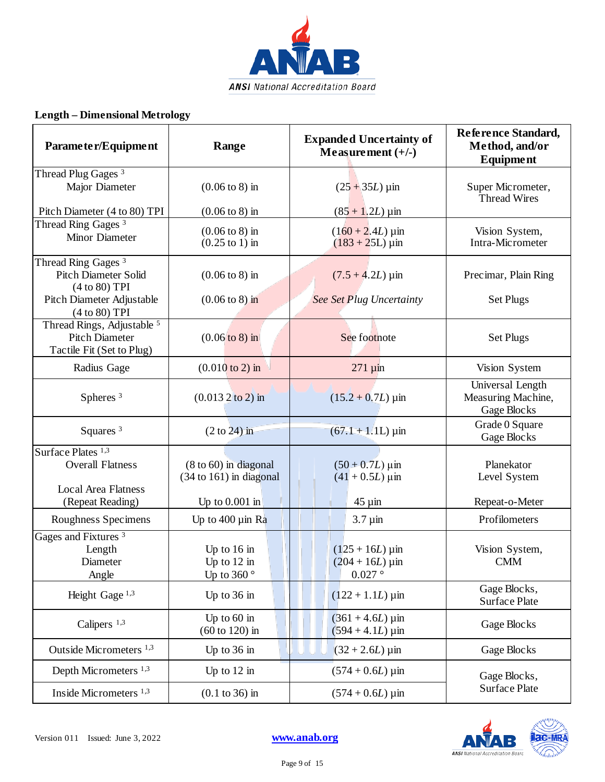

#### **Length – Dimensional Metrology**

| Parameter/Equipment                                                                                          | Range                                                                  | <b>Expanded Uncertainty of</b><br>Measurement $(+/-)$        | Reference Standard,<br>Method, and/or<br><b>Equipment</b> |
|--------------------------------------------------------------------------------------------------------------|------------------------------------------------------------------------|--------------------------------------------------------------|-----------------------------------------------------------|
| Thread Plug Gages <sup>3</sup><br>Major Diameter<br>Pitch Diameter (4 to 80) TPI                             | $(0.06 \text{ to } 8) \text{ in}$<br>$(0.06 \text{ to } 8) \text{ in}$ | $(25 + 35L)$ µin<br>$(85 + 1.2L) \,\mu m$                    | Super Micrometer,<br><b>Thread Wires</b>                  |
| Thread Ring Gages <sup>3</sup><br>Minor Diameter                                                             | $(0.06 \text{ to } 8) \text{ in}$<br>$(0.25 \text{ to } 1)$ in         | $(160 + 2.4L) \,\mathrm{\mu m}$<br>$(183 + 25L) \,\mu m$     | Vision System,<br>Intra-Micrometer                        |
| Thread Ring Gages <sup>3</sup><br><b>Pitch Diameter Solid</b><br>(4 to 80) TPI<br>Pitch Diameter Adjustable  | $(0.06 \text{ to } 8) \text{ in}$<br>$(0.06 \text{ to } 8) \text{ in}$ | $(7.5 + 4.2L) \,\mu m$<br><b>See Set Plug Uncertainty</b>    | Precimar, Plain Ring<br><b>Set Plugs</b>                  |
| (4 to 80) TPI<br>Thread Rings, Adjustable <sup>5</sup><br><b>Pitch Diameter</b><br>Tactile Fit (Set to Plug) | $(0.06 \text{ to } 8) \text{ in}$                                      | See footnote                                                 | <b>Set Plugs</b>                                          |
| Radius Gage                                                                                                  | $(0.010 \text{ to } 2)$ in                                             | $271 \mu m$                                                  | Vision System                                             |
| Spheres <sup>3</sup>                                                                                         | $(0.0132)$ to 2) in                                                    | $(15.2 + 0.7L) \,\mathrm{\mu m}$                             | Universal Length<br>Measuring Machine,<br>Gage Blocks     |
| Squares <sup>3</sup>                                                                                         | $(2 \text{ to } 24)$ in                                                | $(67.1 + 1.1L) \,\mu m$                                      | Grade 0 Square<br>Gage Blocks                             |
| Surface Plates <sup>1,3</sup><br><b>Overall Flatness</b><br><b>Local Area Flatness</b>                       | $(8 \text{ to } 60)$ in diagonal<br>$(34 \text{ to } 161)$ in diagonal | $(50 + 0.7L) \,\mathrm{\mu m}$<br>$(41 + 0.5L) \,\mu m$      | Planekator<br>Level System                                |
| (Repeat Reading)                                                                                             | Up to $0.001$ in                                                       | $45 \mu$ in                                                  | Repeat-o-Meter                                            |
| Roughness Specimens                                                                                          | Up to $400 \mu$ in Ra                                                  | $3.7 \mu$ in                                                 | Profilometers                                             |
| Gages and Fixtures <sup>3</sup><br>Length<br>Diameter<br>Angle                                               | Up to $16$ in<br>Up to $12$ in<br>Up to 360 $^{\circ}$                 | $(125 + 16L)$ µin<br>$(204 + 16L)$ µin<br>$0.027$ $^{\circ}$ | Vision System,<br><b>CMM</b>                              |
| Height Gage <sup>1,3</sup>                                                                                   | Up to $36$ in                                                          | $(122 + 1.1L) \,\mu m$                                       | Gage Blocks,<br>Surface Plate                             |
| Calipers $1,3$                                                                                               | Up to $60$ in<br>$(60 \text{ to } 120)$ in                             | $(361 + 4.6L) \,\mathrm{µm}$<br>$(594 + 4.1L) \,\mu m$       | Gage Blocks                                               |
| Outside Micrometers <sup>1,3</sup>                                                                           | Up to $36$ in                                                          | $(32 + 2.6L) \,\mu m$                                        | Gage Blocks                                               |
| Depth Micrometers <sup>1,3</sup>                                                                             | Up to $12$ in                                                          | $(574 + 0.6L) \,\mu m$                                       | Gage Blocks,                                              |
| Inside Micrometers <sup>1,3</sup>                                                                            | $(0.1 \text{ to } 36) \text{ in}$                                      | $(574 + 0.6L) \,\mathrm{\mu m}$                              | <b>Surface Plate</b>                                      |

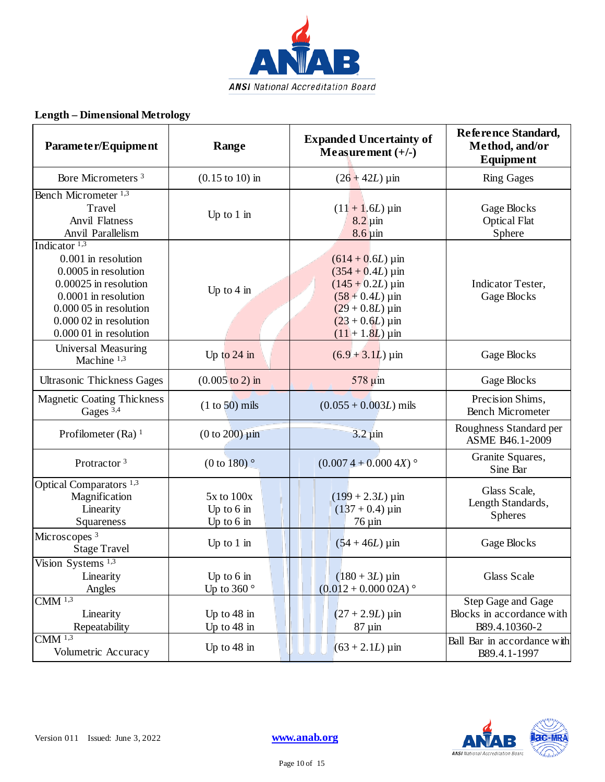

#### **Length – Dimensional Metrology**

| Parameter/Equipment                                                                                                                                                                            | Range                                       | <b>Expanded Uncertainty of</b><br>Measurement $(+/-)$                                                                                                                                                        | Reference Standard,<br>Method, and/or<br><b>Equipment</b>        |
|------------------------------------------------------------------------------------------------------------------------------------------------------------------------------------------------|---------------------------------------------|--------------------------------------------------------------------------------------------------------------------------------------------------------------------------------------------------------------|------------------------------------------------------------------|
| Bore Micrometers <sup>3</sup>                                                                                                                                                                  | $(0.15 \text{ to } 10) \text{ in}$          | $(26 + 42L) \,\mu m$                                                                                                                                                                                         | <b>Ring Gages</b>                                                |
| Bench Micrometer <sup>1,3</sup><br>Travel<br><b>Anvil Flatness</b><br>Anvil Parallelism                                                                                                        | Up to $1$ in                                | $(11 + 1.6L) \,\mu m$<br>$8.2 \mu$ in<br>$8.6 \,\mathrm{\upmu m}$                                                                                                                                            | Gage Blocks<br><b>Optical Flat</b><br>Sphere                     |
| Indicator $1,3$<br>0.001 in resolution<br>0.0005 in resolution<br>0.00025 in resolution<br>0.0001 in resolution<br>0.000 05 in resolution<br>$0.00002$ in resolution<br>0.000 01 in resolution | Up to $4$ in                                | $(614 + 0.6L) \,\mathrm{\mu m}$<br>$(354 + 0.4L) \,\mathrm{\mu m}$<br>$(145 + 0.2L) \,\mu m$<br>$(58 + 0.4L) \,\mathrm{\mu m}$<br>$(29 + 0.8L) \,\mathrm{\upmu m}$<br>$(23 + 0.6L)$ µin<br>$(11 + 1.8L)$ µin | Indicator Tester,<br>Gage Blocks                                 |
| <b>Universal Measuring</b><br>Machine 1,3                                                                                                                                                      | Up to $24$ in                               | $(6.9 + 3.1L) \,\text{µm}$                                                                                                                                                                                   | Gage Blocks                                                      |
| <b>Ultrasonic Thickness Gages</b>                                                                                                                                                              | $(0.005 \text{ to } 2) \text{ in}$          | 578 µin                                                                                                                                                                                                      | Gage Blocks                                                      |
| <b>Magnetic Coating Thickness</b><br>Gages 3,4                                                                                                                                                 | $(1 to 50)$ mils                            | $(0.055 + 0.003L)$ mils                                                                                                                                                                                      | Precision Shims,<br><b>Bench Micrometer</b>                      |
| Profilometer (Ra) $1$                                                                                                                                                                          | $(0 to 200)$ $\mu$ in                       | $3.2 \,\mathrm{\mu m}$                                                                                                                                                                                       | Roughness Standard per<br>ASME B46.1-2009                        |
| Protractor <sup>3</sup>                                                                                                                                                                        | (0 to 180) $^{\circ}$                       | $(0.0074 + 0.0004X)$                                                                                                                                                                                         | Granite Squares,<br>Sine Bar                                     |
| Optical Comparators <sup>1,3</sup><br>Magnification<br>Linearity<br>Squareness                                                                                                                 | 5x to 100x<br>Up to $6$ in<br>Up to $6$ in  | $(199 + 2.3L) \,\mu m$<br>$(137 + 0.4) \,\mathrm{\mu m}$<br>$76 \,\mathrm{\mu m}$                                                                                                                            | Glass Scale,<br>Length Standards,<br><b>Spheres</b>              |
| Microscopes <sup>3</sup><br><b>Stage Travel</b>                                                                                                                                                | Up to $1$ in                                | $(54 + 46L)$ µin                                                                                                                                                                                             | Gage Blocks                                                      |
| Vision Systems <sup>1,3</sup><br>Linearity<br>Angles                                                                                                                                           | Up to $6 \text{ in}$<br>Up to 360 $\degree$ | $(180 + 3L) \,\mu m$<br>$(0.012 + 0.00002A)$ °                                                                                                                                                               | Glass Scale                                                      |
| $CMM$ <sup>1,3</sup><br>Linearity<br>Repeatability                                                                                                                                             | Up to $48$ in<br>Up to $48$ in              | $(27 + 2.9L) \,\mu m$<br>$87 \mu m$                                                                                                                                                                          | Step Gage and Gage<br>Blocks in accordance with<br>B89.4.10360-2 |
| $CMM$ <sup>1,3</sup><br>Volumetric Accuracy                                                                                                                                                    | Up to $48$ in                               | $(63 + 2.1L) \,\mu m$                                                                                                                                                                                        | Ball Bar in accordance with<br>B89.4.1-1997                      |

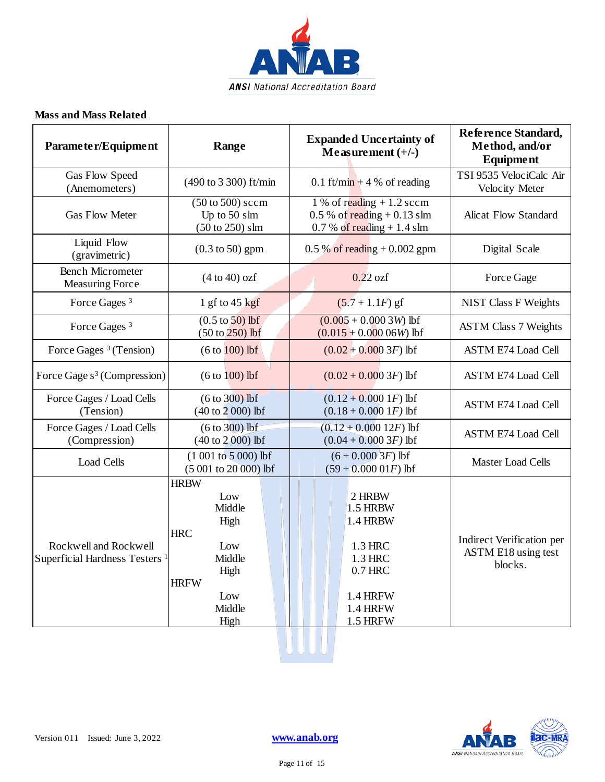

#### **Mass and Mass Related**

| Parameter/Equipment                                                | Range                                                                                                               | <b>Expanded Uncertainty of</b><br>Measurement $(+/-)$                                                                               | Reference Standard,<br>Method, and/or<br>Equipment          |
|--------------------------------------------------------------------|---------------------------------------------------------------------------------------------------------------------|-------------------------------------------------------------------------------------------------------------------------------------|-------------------------------------------------------------|
| Gas Flow Speed<br>(Anemometers)                                    | (490 to 3 300) ft/min                                                                                               | 0.1 ft/min + 4 % of reading                                                                                                         | TSI 9535 VelociCalc Air<br>Velocity Meter                   |
| <b>Gas Flow Meter</b>                                              | $(50 \text{ to } 500)$ sccm<br>Up to 50 slm<br>$(50 \text{ to } 250)$ slm                                           | 1 % of reading $+1.2$ sccm<br>$0.5\%$ of reading + 0.13 slm<br>$0.7 %$ of reading + 1.4 slm                                         | Alicat Flow Standard                                        |
| Liquid Flow<br>(gravimetric)                                       | $(0.3 \text{ to } 50)$ gpm                                                                                          | $0.5\%$ of reading $+0.002$ gpm                                                                                                     | Digital Scale                                               |
| <b>Bench Micrometer</b><br><b>Measuring Force</b>                  | $(4 to 40)$ ozf                                                                                                     | $0.22$ ozf                                                                                                                          | Force Gage                                                  |
| Force Gages <sup>3</sup>                                           | 1 gf to $45$ kgf                                                                                                    | $(5.7 + 1.1F)$ gf                                                                                                                   | <b>NIST Class F Weights</b>                                 |
| Force Gages <sup>3</sup>                                           | $(0.5 \text{ to } 50) \text{ lbf}$<br>$(50 \text{ to } 250) \text{ lbf}$                                            | $(0.005 + 0.0003W)$ lbf<br>$(0.015 + 0.00006)$ lbf                                                                                  | <b>ASTM Class 7 Weights</b>                                 |
| Force Gages <sup>3</sup> (Tension)                                 | $(6 to 100)$ lbf                                                                                                    | $(0.02 + 0.0003F)$ lbf                                                                                                              | <b>ASTM E74 Load Cell</b>                                   |
| Force Gage s <sup>3</sup> (Compression)                            | $(6 to 100)$ lbf                                                                                                    | $(0.02 + 0.0003F)$ lbf                                                                                                              | <b>ASTM E74 Load Cell</b>                                   |
| Force Gages / Load Cells<br>(Tension)                              | $(6 to 300)$ lbf<br>$(40 to 2 000)$ lbf                                                                             | $(0.12 + 0.0001F)$ lbf<br>$(0.18 + 0.0001F)$ lbf                                                                                    | <b>ASTM E74 Load Cell</b>                                   |
| Force Gages / Load Cells<br>(Compression)                          | $(6 to 300)$ lbf<br>(40 to 2 000) lbf                                                                               | $(0.12 + 0.00012F)$ lbf<br>$(0.04 + 0.0003F)$ lbf                                                                                   | <b>ASTM E74 Load Cell</b>                                   |
| Load Cells                                                         | $(1001 to 5000)$ lbf<br>$(5001 to 20000)$ lbf                                                                       | $(6+0.0003F)$ lbf<br>$(59+0.00001F)$ lbf                                                                                            | Master Load Cells                                           |
| Rockwell and Rockwell<br>Superficial Hardness Testers <sup>1</sup> | <b>HRBW</b><br>Low<br>Middle<br>High<br><b>HRC</b><br>Low<br>Middle<br>High<br><b>HRFW</b><br>Low<br>Middle<br>High | 2 HRBW<br>$1.5$ HRBW<br><b>1.4 HRBW</b><br>1.3 HRC<br>1.3 HRC<br>$0.7$ HRC<br><b>1.4 HRFW</b><br><b>1.4 HRFW</b><br><b>1.5 HRFW</b> | Indirect Verification per<br>ASTM E18 using test<br>blocks. |



<u>UUUU</u>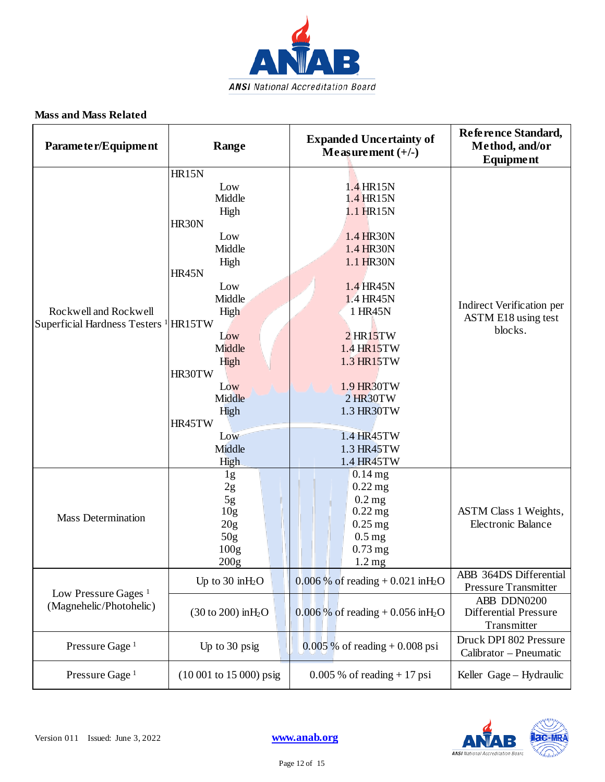

#### **Mass and Mass Related**

| Parameter/Equipment                                                       | Range                                                                                                                                                                                            | <b>Expanded Uncertainty of</b><br>Measurement $(+/-)$                                                                                                                                                                         | Reference Standard,<br>Method, and/or<br><b>Equipment</b>                                            |
|---------------------------------------------------------------------------|--------------------------------------------------------------------------------------------------------------------------------------------------------------------------------------------------|-------------------------------------------------------------------------------------------------------------------------------------------------------------------------------------------------------------------------------|------------------------------------------------------------------------------------------------------|
| Rockwell and Rockwell<br>Superficial Hardness Testers <sup>1</sup> HR15TW | HR15N<br>Low<br>Middle<br>High<br>HR30N<br>Low<br>Middle<br>High<br><b>HR45N</b><br>Low<br>Middle<br>High<br>Low<br>Middle<br>High<br>HR30TW<br>Low<br>Middle<br>High<br>HR45TW<br>Low<br>Middle | 1.4 HR15N<br>1.4 HR15N<br>1.1 HR15N<br>1.4 HR30N<br>1.4 HR30N<br>1.1 HR30N<br>1.4 HR45N<br>1.4 HR45N<br>1 HR45N<br>$2$ HR15TW<br>1.4 HR15TW<br>1.3 HR15TW<br>1.9 HR30TW<br>2 HR30TW<br>1.3 HR30TW<br>1.4 HR45TW<br>1.3 HR45TW | Indirect Verification per<br>ASTM E18 using test<br>blocks.                                          |
| <b>Mass Determination</b>                                                 | High<br>1g<br>2g<br>$5g$<br>10g<br>20g<br>50 <sub>g</sub><br>100 <sub>g</sub>                                                                                                                    | 1.4 HR45TW<br>$0.14$ mg<br>$0.22$ mg<br>$0.2$ mg<br>$0.22$ mg<br>$0.25$ mg<br>$0.5$ mg<br>$0.73$ mg                                                                                                                           | ASTM Class 1 Weights,<br><b>Electronic Balance</b>                                                   |
| Low Pressure Gages <sup>1</sup><br>(Magnehelic/Photohelic)                | 200g<br>Up to $30$ in $H_2O$<br>$(30 \text{ to } 200) \text{ in } H_2O$                                                                                                                          | $1.2 \text{ mg}$<br>$0.006\%$ of reading + 0.021 in H <sub>2</sub> O<br>0.006 % of reading + 0.056 in H <sub>2</sub> O                                                                                                        | ABB 364DS Differential<br><b>Pressure Transmitter</b><br>ABB DDN0200<br><b>Differential Pressure</b> |
| Pressure Gage <sup>1</sup>                                                | Up to 30 psig                                                                                                                                                                                    | $0.005\%$ of reading + 0.008 psi                                                                                                                                                                                              | Transmitter<br>Druck DPI 802 Pressure<br>Calibrator - Pneumatic                                      |
| Pressure Gage <sup>1</sup>                                                | $(10001$ to 15 000) psig                                                                                                                                                                         | $0.005\%$ of reading + 17 psi                                                                                                                                                                                                 | Keller Gage - Hydraulic                                                                              |

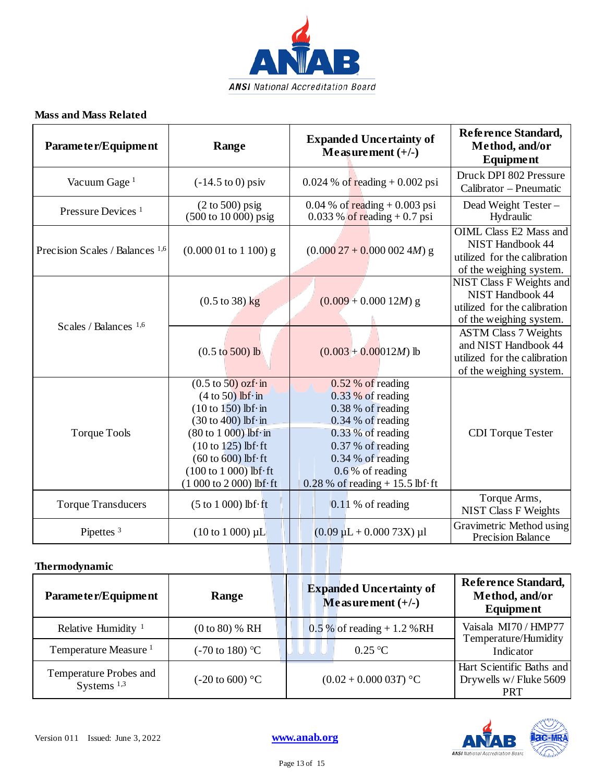

#### **Mass and Mass Related**

| Parameter/Equipment                        | Range                                                                                                                                                                                                                                                                                                                           | <b>Expanded Uncertainty of</b><br>Measurement $(+/-)$                                                                                                                                                            | Reference Standard,<br>Method, and/or<br>Equipment                                                                    |
|--------------------------------------------|---------------------------------------------------------------------------------------------------------------------------------------------------------------------------------------------------------------------------------------------------------------------------------------------------------------------------------|------------------------------------------------------------------------------------------------------------------------------------------------------------------------------------------------------------------|-----------------------------------------------------------------------------------------------------------------------|
| Vacuum Gage <sup>1</sup>                   | $(-14.5 \text{ to } 0) \text{ psiv}$                                                                                                                                                                                                                                                                                            | $0.024$ % of reading + 0.002 psi                                                                                                                                                                                 | Druck DPI 802 Pressure<br>Calibrator - Pneumatic                                                                      |
| Pressure Devices <sup>1</sup>              | $(2 to 500)$ psig<br>(500 to 10 000) psig                                                                                                                                                                                                                                                                                       | $0.04\%$ of reading + 0.003 psi<br>$0.033\%$ of reading + 0.7 psi                                                                                                                                                | Dead Weight Tester -<br>Hydraulic                                                                                     |
| Precision Scales / Balances <sup>1,6</sup> | $(0.00001$ to 1 100) g                                                                                                                                                                                                                                                                                                          | $(0.00027 + 0.000024M)$ g                                                                                                                                                                                        | <b>OIML Class E2 Mass and</b><br><b>NIST Handbook 44</b><br>utilized for the calibration<br>of the weighing system.   |
| Scales / Balances <sup>1,6</sup>           | $(0.5 \text{ to } 38) \text{ kg}$                                                                                                                                                                                                                                                                                               | $(0.009 + 0.00012M)$ g                                                                                                                                                                                           | <b>NIST Class F Weights and</b><br><b>NIST Handbook 44</b><br>utilized for the calibration<br>of the weighing system. |
|                                            | $(0.5 \text{ to } 500)$ lb                                                                                                                                                                                                                                                                                                      | $(0.003 + 0.00012M)$ lb                                                                                                                                                                                          | <b>ASTM Class 7 Weights</b><br>and NIST Handbook 44<br>utilized for the calibration<br>of the weighing system.        |
| <b>Torque Tools</b>                        | $(0.5 \text{ to } 50)$ ozf·in<br>$(4 to 50)$ lbf $\cdot$ in<br>$(10 \text{ to } 150)$ lbf·in<br>$(30 \text{ to } 400)$ lbf $\cdot$ in<br>$(80 \text{ to } 1000)$ lbf $\cdot$ in<br>$(10 \text{ to } 125)$ lbf $\cdot$ ft<br>$(60 \text{ to } 600)$ lbf $\cdot$ ft<br>$(100 to 1 000)$ lbf $\cdot$ ft<br>$(1000 to 2000)$ lbf·ft | 0.52 % of reading<br>$0.33\%$ of reading<br>0.38 % of reading<br>$0.34$ % of reading<br>$0.33\%$ of reading<br>0.37 % of reading<br>0.34 % of reading<br>$0.6\%$ of reading<br>$0.28\%$ of reading + 15.5 lbf·ft | <b>CDI</b> Torque Tester                                                                                              |
| <b>Torque Transducers</b>                  | $(5 to 1 000)$ lbf $\cdot$ ft                                                                                                                                                                                                                                                                                                   | $0.11\%$ of reading                                                                                                                                                                                              | Torque Arms,<br><b>NIST Class F Weights</b>                                                                           |
| Pipettes <sup>3</sup>                      | $(10 \text{ to } 1000) \mu L$                                                                                                                                                                                                                                                                                                   | $(0.09 \mu L + 0.000 73X) \mu l$                                                                                                                                                                                 | Gravimetric Method using<br><b>Precision Balance</b>                                                                  |

#### **Thermodynamic**

| Parameter/Equipment                     | Range                      | <b>Expanded Uncertainty of</b><br>Measurement $(+/-)$ | Reference Standard,<br>Method, and/or<br>Equipment               |
|-----------------------------------------|----------------------------|-------------------------------------------------------|------------------------------------------------------------------|
| Relative Humidity $1$                   | $(0 to 80)$ % RH           | $0.5\%$ of reading + 1.2 % RH                         | Vaisala MI70 / HMP77                                             |
| Temperature Measure <sup>1</sup>        | $(-70 \text{ to } 180)$ °C | 0.25 °C                                               | Temperature/Humidity<br>Indicator                                |
| Temperature Probes and<br>Systems $1,3$ | $(-20 \text{ to } 600)$ °C | $(0.02 + 0.00003T)$ °C                                | Hart Scientific Baths and<br>Drywells w/Fluke 5609<br><b>PRT</b> |

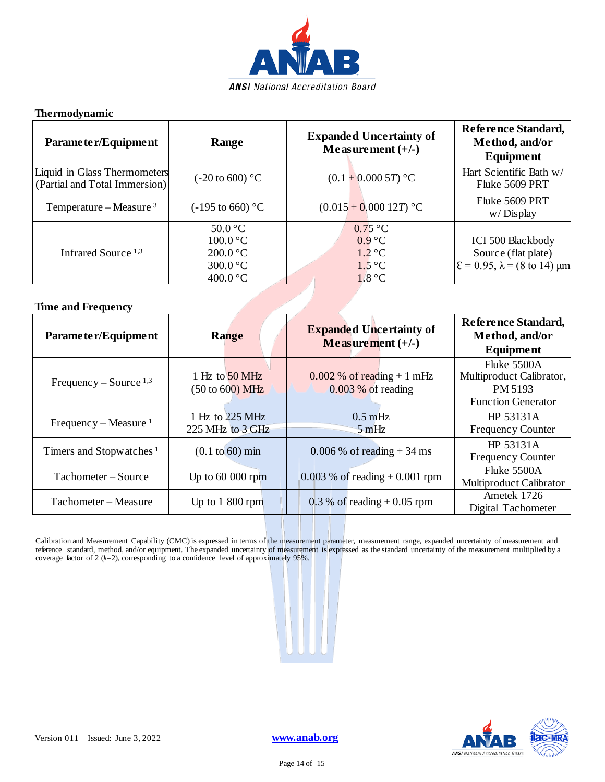

#### **Thermodynamic**

| Parameter/Equipment                                           | Range                                                                                      | <b>Expanded Uncertainty of</b><br>Measurement $(+/-)$                             | Reference Standard,<br>Method, and/or<br>Equipment                                                                           |
|---------------------------------------------------------------|--------------------------------------------------------------------------------------------|-----------------------------------------------------------------------------------|------------------------------------------------------------------------------------------------------------------------------|
| Liquid in Glass Thermometers<br>(Partial and Total Immersion) | $(-20 \text{ to } 600)$ °C                                                                 | $(0.1 + 0.0005T)$ °C                                                              | Hart Scientific Bath w/<br>Fluke 5609 PRT                                                                                    |
| Temperature – Measure $3$                                     | $(-195 \text{ to } 660)$ °C                                                                | $(0.015 + 0.00012T)$ °C                                                           | Fluke 5609 PRT<br>$w/Di$ splay                                                                                               |
| Infrared Source <sup>1,3</sup>                                | $50.0\degree C$<br>100.0 °C<br>200.0 °C<br>$300.0 \degree C$<br>400.0 $\mathrm{^{\circ}C}$ | $0.75\text{ °C}$<br>$0.9^{\circ}C$<br>$1.2\degree C$<br>$1.5^{\circ}$ C<br>1.8 °C | <b>ICI 500 Blackbody</b><br>Source (flat plate)<br>$\mathcal{E} = 0.95$ , $\lambda = (8 \text{ to } 14) \text{ }\mu\text{m}$ |

and the contract of the contract of

#### **Time and Frequency**

| Parameter/Equipment                 | <b>Range</b>                                         | <b>Expanded Uncertainty of</b><br>Measurement $(+/-)$ | <b>Reference Standard,</b><br>Method, and/or<br>Equipment                       |
|-------------------------------------|------------------------------------------------------|-------------------------------------------------------|---------------------------------------------------------------------------------|
| Frequency – Source $^{1,3}$         | 1 Hz to 50 MHz<br>$(50 \text{ to } 600) \text{ MHz}$ | $0.002\%$ of reading + 1 mHz<br>$0.003\%$ of reading  | Fluke 5500A<br>Multiproduct Calibrator,<br>PM 5193<br><b>Function Generator</b> |
| Frequency – Measure $1$             | 1 Hz to 225 MHz<br>225 MHz to 3 GHz                  | $0.5 \text{ mHz}$<br>$-5$ mHz                         | HP 53131A<br><b>Frequency Counter</b>                                           |
| Timers and Stopwatches <sup>1</sup> | $(0.1 \text{ to } 60) \text{ min}$                   | $0.006\%$ of reading $+34$ ms                         | HP 53131A<br><b>Frequency Counter</b>                                           |
| Tachometer – Source                 | Up to $6000$ rpm                                     | $0.003\%$ of reading + 0.001 rpm                      | Fluke 5500A<br>Multiproduct Calibrator                                          |
| Tachometer - Measure                | Up to $1800$ rpm                                     | $0.3\%$ of reading + 0.05 rpm                         | Ametek 1726<br>Digital Tachometer                                               |

Calibration and Measurement Capability (CMC) is expressed in terms of the measurement parameter, measurement range, expanded uncertainty of measurement and reference standard, method, and/or equipment. The expanded uncertainty of measurement is expressed as the standard uncertainty of the measurement multiplied by a coverage factor of 2 (*k*=2), corresponding to a confidence level of approximately 95%.